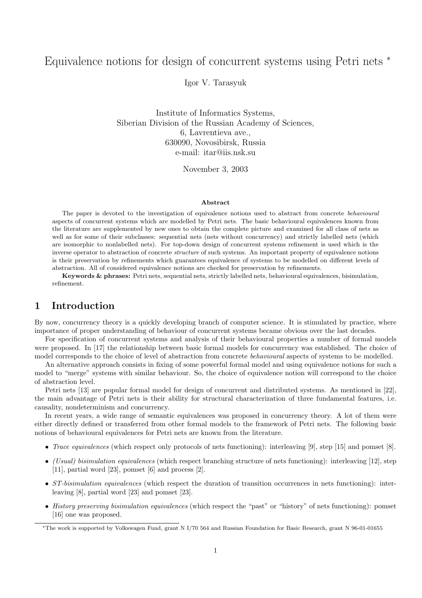# Equivalence notions for design of concurrent systems using Petri nets <sup>∗</sup>

Igor V. Tarasyuk

Institute of Informatics Systems, Siberian Division of the Russian Academy of Sciences, 6, Lavrentieva ave., 630090, Novosibirsk, Russia e-mail: itar@iis.nsk.su

November 3, 2003

#### Abstract

The paper is devoted to the investigation of equivalence notions used to abstract from concrete behavioural aspects of concurrent systems which are modelled by Petri nets. The basic behavioural equivalences known from the literature are supplemented by new ones to obtain the complete picture and examined for all class of nets as well as for some of their subclasses: sequential nets (nets without concurrency) and strictly labelled nets (which are isomorphic to nonlabelled nets). For top-down design of concurrent systems refinement is used which is the inverse operator to abstraction of concrete structure of such systems. An important property of equivalence notions is their preservation by refinements which guarantees equivalence of systems to be modelled on different levels of abstraction. All of considered equivalence notions are checked for preservation by refinements.

Keywords & phrases: Petri nets, sequential nets, strictly labelled nets, behavioural equivalences, bisimulation, refinement.

## 1 Introduction

By now, concurrency theory is a quickly developing branch of computer science. It is stimulated by practice, where importance of proper understanding of behaviour of concurrent systems became obvious over the last decades.

For specification of concurrent systems and analysis of their behavioural properties a number of formal models were proposed. In [17] the relationship between basic formal models for concurrency was established. The choice of model corresponds to the choice of level of abstraction from concrete behavioural aspects of systems to be modelled.

An alternative approach consists in fixing of some powerful formal model and using equivalence notions for such a model to "merge" systems with similar behaviour. So, the choice of equivalence notion will correspond to the choice of abstraction level.

Petri nets [13] are popular formal model for design of concurrent and distributed systems. As mentioned in [22], the main advantage of Petri nets is their ability for structural characterization of three fundamental features, i.e. causality, nondeterminism and concurrency.

In recent years, a wide range of semantic equivalences was proposed in concurrency theory. A lot of them were either directly defined or transferred from other formal models to the framework of Petri nets. The following basic notions of behavioural equivalences for Petri nets are known from the literature.

- *Trace equivalences* (which respect only protocols of nets functioning): interleaving [9], step [15] and pomset [8].
- (Usual) bisimulation equivalences (which respect branching structure of nets functioning): interleaving [12], step [11], partial word [23], pomset [6] and process [2].
- ST-bisimulation equivalences (which respect the duration of transition occurrences in nets functioning): interleaving [8], partial word [23] and pomset [23].
- History preserving bisimulation equivalences (which respect the "past" or "history" of nets functioning): pomset [16] one was proposed.

<sup>∗</sup>The work is supported by Volkswagen Fund, grant N I/70 564 and Russian Foundation for Basic Research, grant N 96-01-01655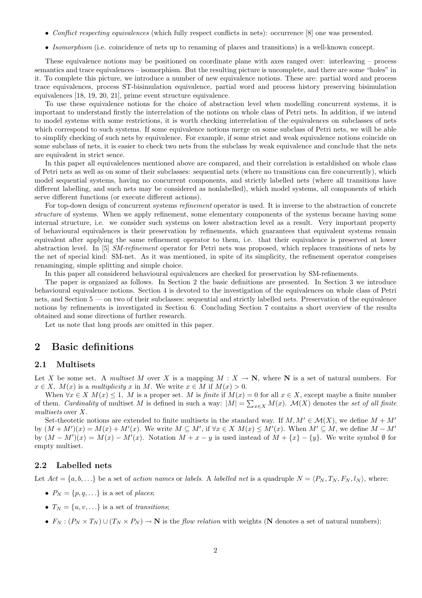- Conflict respecting equivalences (which fully respect conflicts in nets): occurrence [8] one was presented.
- Isomorphism (i.e. coincidence of nets up to renaming of places and transitions) is a well-known concept.

These equivalence notions may be positioned on coordinate plane with axes ranged over: interleaving – process semantics and trace equivalences – isomorphism. But the resulting picture is uncomplete, and there are some "holes" in it. To complete this picture, we introduce a number of new equivalence notions. These are: partial word and process trace equivalences, process ST-bisimulation equivalence, partial word and process history preserving bisimulation equivalences [18, 19, 20, 21], prime event structure equivalence.

To use these equivalence notions for the choice of abstraction level when modelling concurrent systems, it is important to understand firstly the interrelation of the notions on whole class of Petri nets. In addition, if we intend to model systems with some restrictions, it is worth checking interrelation of the equivalences on subclasses of nets which correspond to such systems. If some equivalence notions merge on some subclass of Petri nets, we will be able to simplify checking of such nets by equivalence. For example, if some strict and weak equivalence notions coincide on some subclass of nets, it is easier to check two nets from the subclass by weak equivalence and conclude that the nets are equivalent in strict sence.

In this paper all equivalelences mentioned above are compared, and their correlation is established on whole class of Petri nets as well as on some of their subclasses: sequential nets (where no transitions can fire concurrently), which model sequential systems, having no concurrent components, and strictly labelled nets (where all transitions have different labelling, and such nets may be considered as nonlabelled), which model systems, all components of which serve different functions (or execute different actions).

For top-down design of concurrent systems refinement operator is used. It is inverse to the abstraction of concrete structure of systems. When we apply refinement, some elementary components of the systems became having some internal structure, i.e. we consider such systems on lower abstraction level as a result. Very important property of behavioural equivalences is their preservation by refinements, which guarantees that equivalent systems remain equivalent after applying the same refinement operator to them, i.e. that their equivalence is preserved at lower abstraction level. In [5] SM-refinement operator for Petri nets was proposed, which replaces transitions of nets by the net of special kind: SM-net. As it was mentioned, in spite of its simplicity, the refinement operator comprises renaminging, simple splitting and simple choice.

In this paper all considered behavioural equivalences are checked for preservation by SM-refinements.

The paper is organized as follows. In Section 2 the basic definitions are presented. In Section 3 we introduce behavioural equivalence notions. Section 4 is devoted to the investigation of the equivalences on whole class of Petri nets, and Section 5 — on two of their subclasses: sequential and strictly labelled nets. Preservation of the equivalence notions by refinements is investigated in Section 6. Concluding Section 7 contains a short overview of the results obtained and some directions of further research.

Let us note that long proofs are omitted in this paper.

# 2 Basic definitions

#### 2.1 Multisets

Let X be some set. A multiset M over X is a mapping  $M : X \to \mathbb{N}$ , where N is a set of natural numbers. For  $x \in X$ ,  $M(x)$  is a multiplicity x in M. We write  $x \in M$  if  $M(x) > 0$ .

When  $\forall x \in X \ M(x) \leq 1$ , M is a proper set. M is finite if  $M(x) = 0$  for all  $x \in X$ , except maybe a finite number of them. Cardinality of multiset M is defined in such a way:  $|M| = \sum_{x \in X} M(x)$ .  $\mathcal{M}(X)$  denotes the set of all finite multisets over X.

Set-theotetic notions are extended to finite multisets in the standard way. If  $M, M' \in \mathcal{M}(X)$ , we define  $M + M'$ by  $(M + M')(x) = M(x) + M'(x)$ . We write  $M \subseteq M'$ , if  $\forall x \in X$   $M(x) \leq M'(x)$ . When  $M' \subseteq M$ , we define  $M - M'$ by  $(M - M')(x) = M(x) - M'(x)$ . Notation  $M + x - y$  is used instead of  $M + \{x\} - \{y\}$ . We write symbol Ø for empty multiset.

#### 2.2 Labelled nets

Let  $Act = \{a, b, \ldots\}$  be a set of action names or labels. A labelled net is a quadruple  $N = \langle P_N, T_N, F_N, l_N \rangle$ , where:

- $P_N = \{p, q, \ldots\}$  is a set of places;
- $T_N = \{u, v, ...\}$  is a set of transitions;
- $F_N : (P_N \times T_N) \cup (T_N \times P_N) \to \mathbb{N}$  is the *flow relation* with weights (N denotes a set of natural numbers);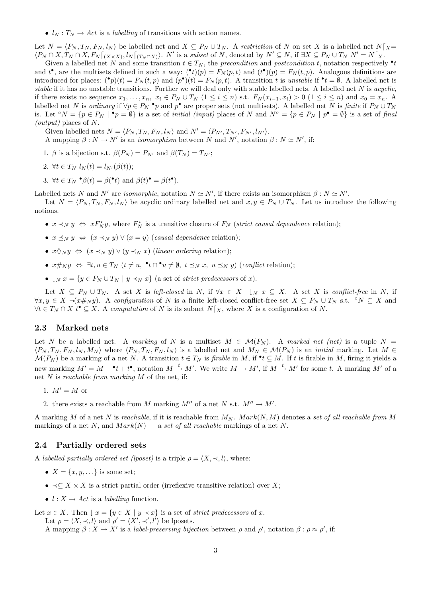•  $l_N : T_N \to Act$  is a *labelling* of transitions with action names.

Let  $N = \langle P_N, T_N, F_N, l_N \rangle$  be labelled net and  $X \subseteq P_N \cup T_N$ . A restriction of N on set X is a labelled net  $N|_X=$  $\langle P_N \cap X, T_N \cap X, F_N \lceil_{(X \times X)}, l_N \lceil_{(T_N \cap X)} \rangle$ . N' is a subset of N, denoted by  $N' \subseteq N$ , if  $\exists X \subseteq P_N \cup T_N \ N' = N \lceil_{X \setminus X} \cdot N' \rceil_{X \setminus X}$ 

Given a labelled net N and some transition  $t \in T_N$ , the precondition and postcondition t, notation respectively  $\bullet t$ and  $t^{\bullet}$ , are the multisets defined in such a way:  $({^{\bullet}t})(p) = F_N(p, t)$  and  $(t^{\bullet})(p) = F_N(t, p)$ . Analogous definitions are introduced for places:  $(\bullet p)(t) = F_N(t, p)$  and  $(p^{\bullet})(t) = F_N(p, t)$ . A transition t is unstable if  $\bullet t = \emptyset$ . A labelled net is stable if it has no unstable transitions. Further we will deal only with stable labelled nets. A labelled net  $N$  is  $acyclic$ , if there exists no sequence  $x_1, \ldots, x_n$ ,  $x_i \in P_N \cup T_N$  ( $1 \leq i \leq n$ ) s.t.  $F_N(x_{i-1}, x_i) > 0$  ( $1 \leq i \leq n$ ) and  $x_0 = x_n$ . A labelled net N is *ordinary* if  $\forall p \in P_N$  •p and  $p^{\bullet}$  are proper sets (not multisets). A labelled net N is *finite* if  $P_N \cup T_N$ is. Let °N = { $p \in P_N$  |  $\bullet_p = \emptyset$ } is a set of *initial (input)* places of N and  $N^{\circ} = \{p \in P_N \mid p^{\bullet} = \emptyset\}$  is a set of final (output) places of N.

Given labelled nets  $N = \langle P_N, T_N, F_N, l_N \rangle$  and  $N' = \langle P_{N'}, T_{N'}, F_{N'}, l_{N'} \rangle$ .

A mapping  $\beta : N \to N'$  is an *isomorphism* between N and N', notation  $\beta : N \simeq N'$ , if:

1. β is a bijection s.t.  $\beta(P_N) = P_{N'}$  and  $\beta(T_N) = T_{N'}$ ;

2. 
$$
\forall t \in T_N \ l_N(t) = l_{N'}(\beta(t));
$$

3.  $\forall t \in T_N \bullet \beta(t) = \beta(\bullet t) \text{ and } \beta(t) \bullet \beta(t).$ 

Labelled nets N and N' are isomorphic, notation  $N \simeq N'$ , if there exists an isomorphism  $\beta : N \simeq N'$ .

Let  $N = \langle P_N, T_N, F_N, l_N \rangle$  be acyclic ordinary labelled net and  $x, y \in P_N \cup T_N$ . Let us introduce the following notions.

- $x \prec_N y \Leftrightarrow x F_N^* y$ , where  $F_N^*$  is a transitive closure of  $F_N$  (strict causal dependence relation);
- $x \preceq_N y \Leftrightarrow (x \preceq_N y) \vee (x = y)$  (causal dependence relation);
- $x \diamondsuit_N y \Leftrightarrow (x \prec_N y) \vee (y \prec_N x)$  (linear ordering relation);
- $x \#_N y \Leftrightarrow \exists t, u \in T_N$   $(t \neq u, \text{ }^{\bullet} t \cap \text{ }^{\bullet} u \neq \emptyset, t \preceq_N x, u \preceq_N y)$  (conflict relation);
- $\downarrow_N x = \{y \in P_N \cup T_N \mid y \prec_N x\}$  (a set of *strict predecessors* of x).

Let  $X \subseteq P_N \cup T_N$ . A set X is left-closed in N, if  $\forall x \in X \mid N \ x \subseteq X$ . A set X is conflict-free in N, if  $\forall x, y \in X \neg (x \#_N y)$ . A configuration of N is a finite left-closed conflict-free set  $X \subseteq P_N \cup T_N$  s.t. °N  $\subseteq X$  and  $\forall t \in T_N \cap X$   $t^{\bullet} \subseteq X$ . A computation of N is its subnet  $N[x]$ , where X is a configuration of N.

### 2.3 Marked nets

Let N be a labelled net. A marking of N is a multiset  $M \in \mathcal{M}(P_N)$ . A marked net (net) is a tuple  $N =$  $\langle P_N, T_N, F_N, l_N, M_N \rangle$  where  $\langle P_N, T_N, F_N, l_N \rangle$  is a labelled net and  $M_N \in \mathcal{M}(P_N)$  is an *initial marking*. Let  $M \in \mathcal{M}(P_N)$  $\mathcal{M}(P_N)$  be a marking of a net N. A transition  $t \in T_N$  is *firable* in M, if  $\bullet t \subseteq M$ . If t is firable in M, firing it yields a new marking  $M' = M - \cdot t + t^{\bullet}$ , notation  $M \stackrel{t}{\rightarrow} M'$ . We write  $M \rightarrow M'$ , if  $M \stackrel{t}{\rightarrow} M'$  for some t. A marking  $M'$  of a net N is reachable from marking  $M$  of the net, if:

- 1.  $M' = M$  or
- 2. there exists a reachable from M marking  $M''$  of a net N s.t.  $M'' \to M'$ .

A marking M of a net N is reachable, if it is reachable from  $M_N$ . Mark $(N, M)$  denotes a set of all reachable from M markings of a net N, and  $Mark(N)$  — a set of all reachable markings of a net N.

#### 2.4 Partially ordered sets

A labelled partially ordered set (lposet) is a triple  $\rho = \langle X, \prec, l \rangle$ , where:

- $X = \{x, y, \ldots\}$  is some set;
- $\prec \subseteq X \times X$  is a strict partial order (irreflexive transitive relation) over X;
- $l : X \rightarrow Act$  is a *labelling* function.

Let  $x \in X$ . Then  $\downarrow x = \{y \in X \mid y \prec x\}$  is a set of *strict predecessors* of x. Let  $\rho = \langle X, \prec, l \rangle$  and  $\rho' = \langle X', \prec', l' \rangle$  be lposets.

A mapping  $\beta: X \to X'$  is a *label-preserving bijection* between  $\rho$  and  $\rho'$ , notation  $\beta: \rho \approx \rho'$ , if: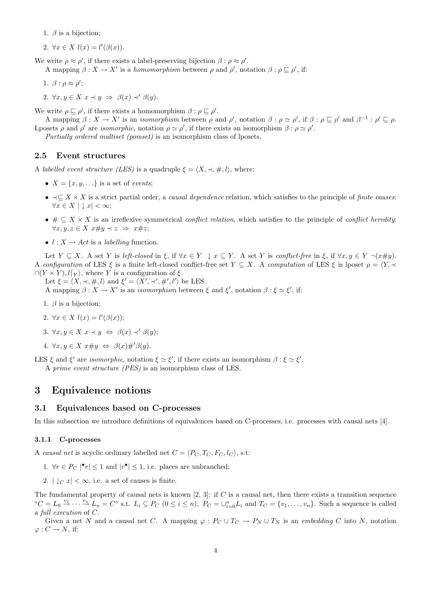- 1.  $\beta$  is a bijection;
- 2.  $\forall x \in X$   $l(x) = l'(\beta(x)).$

We write  $\rho \approx \rho'$ , if there exists a label-preserving bijection  $\beta : \rho \approx \rho'$ .

A mapping  $\beta: X \to X'$  is a homomorphism between  $\rho$  and  $\rho'$ , notation  $\beta: \rho \sqsubseteq \rho'$ , if:

- 1.  $\beta$  :  $\rho \approx \rho'$ ;
- 2.  $\forall x, y \in X \ x \prec y \ \Rightarrow \ \beta(x) \prec' \beta(y).$

We write  $\rho \sqsubseteq \rho'$ , if there exists a homomorphism  $\beta : \rho \sqsubseteq \rho'$ .

A mapping  $\beta: X \to X'$  is an *isomorphism* between  $\rho$  and  $\rho'$ , notation  $\beta: \rho \simeq \rho'$ , if  $\beta: \rho \sqsubseteq \rho'$  and  $\beta^{-1}: \rho' \sqsubseteq \rho$ . Lposets  $\rho$  and  $\rho'$  are *isomorphic*, notation  $\rho \simeq \rho'$ , if there exists an isomorphism  $\beta : \rho \simeq \rho'$ .

Partially ordered multiset (pomset) is an isomorphism class of lposets.

### 2.5 Event structures

A labelled event structure (LES) is a quadruple  $\xi = \langle X, \prec, \#, l \rangle$ , where:

- $X = \{x, y, \ldots\}$  is a set of events;
- $\prec \subseteq X \times X$  is a strict partial order, a *causal dependence* relation, which satisfies to the principle of *finite causes*:  $\forall x \in X \mid \downarrow x \mid < \infty;$
- $\bullet \# \subseteq X \times X$  is an irreflexive symmetrical conflict relation, which satisfies to the principle of conflict heredity:  $\forall x, y, z \in X \ x \# y \prec z \Rightarrow x \# z;$
- $l : X \rightarrow Act$  is a *labelling* function.

Let  $Y \subseteq X$ . A set Y is left-closed in  $\xi$ , if  $\forall x \in Y \; \downarrow x \subseteq Y$ . A set Y is conflict-free in  $\xi$ , if  $\forall x, y \in Y \; \neg(x \# y)$ . A configuration of LES  $\xi$  is a finite left-closed conflict-free set  $Y \subseteq X$ . A computation of LES  $\xi$  is lposet  $\rho = \langle Y, \prec \rangle$  $\bigcap (Y \times Y), l[\gamma]$ , where Y is a configuration of ξ.

Let  $\xi = \langle X, \prec, \#, l \rangle$  and  $\xi' = \langle X', \prec', \#', l' \rangle$  be LES.

A mapping  $\beta: X \to X'$  is an *isomorphism* between  $\xi$  and  $\xi'$ , notation  $\beta: \xi \simeq \xi'$ , if:

- 1.  $\beta$  is a bijection;
- 2.  $\forall x \in X \; l(x) = l'(\beta(x));$
- 3.  $\forall x, y \in X \ x \prec y \Leftrightarrow \beta(x) \prec' \beta(y);$
- 4.  $\forall x, y \in X \ x \# y \Leftrightarrow \beta(x) \#' \beta(y).$

LES  $\xi$  and  $\xi'$  are *isomorphic*, notation  $\xi \simeq \xi'$ , if there exists an isomorphism  $\beta : \xi \simeq \xi'$ . A prime event structure (PES) is an isomorphism class of LES.

### 3 Equivalence notions

#### 3.1 Equivalences based on C-processes

In this subsection we introduce definitions of equivalences based on C-processes, i.e. processes with causal nets [4].

#### 3.1.1 C-processes

A causal net is acyclic ordinary labelled net  $C = \langle P_C, T_C, F_C, l_C \rangle$ , s.t:

- 1.  $\forall r \in P_C \mid \mathbf{r} \leq 1$  and  $\vert r^{\bullet} \vert \leq 1$ , i.e. places are unbranched;
- 2.  $|\bigcup_{C} x| < \infty$ , i.e. a set of causes is finite.

The fundamental property of causal nets is known  $[2, 3]$ : if C is a causal net, then there exists a transition sequence  ${}^{\circ}C = L_0 \stackrel{v_1}{\rightarrow} \cdots \stackrel{v_n}{\rightarrow} L_n = C^{\circ}$  s.t.  $L_i \subseteq P_C$   $(0 \leq i \leq n)$ ,  $P_C = \cup_{i=0}^n L_i$  and  $T_C = \{v_1, \ldots, v_n\}$ . Such a sequence is called a full execution of C.

Given a net N and a causal net C. A mapping  $\varphi: P_C \cup T_C \to P_N \cup T_N$  is an embedding C into N, notation  $\varphi: C \to N$ , if: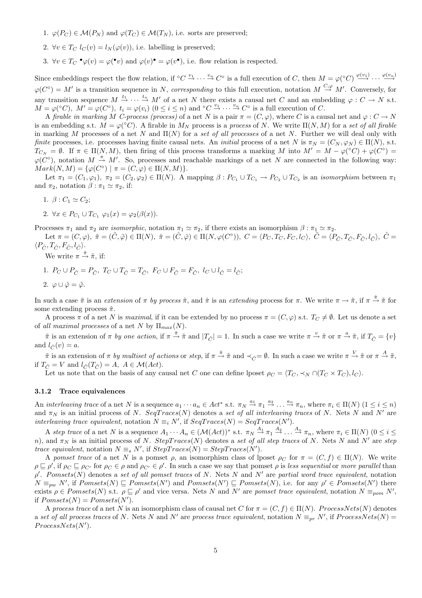- 1.  $\varphi(P_C) \in \mathcal{M}(P_N)$  and  $\varphi(T_C) \in \mathcal{M}(T_N)$ , i.e. sorts are preserved;
- 2.  $\forall v \in T_C$   $l_C(v) = l_N(\varphi(v))$ , i.e. labelling is preserved;
- 3.  $\forall v \in T_C \cdot \varphi(v) = \varphi(\cdot v)$  and  $\varphi(v) \cdot \varphi(v)$ , i.e. flow relation is respected.

Since embeddings respect the flow relation, if °C  $\stackrel{v_1}{\rightarrow} \cdots \stackrel{v_n}{\rightarrow} C^{\circ}$  is a full execution of C, then  $M = \varphi({}^{\circ}C) \stackrel{\varphi(v_1)}{\rightarrow} \cdots \stackrel{\varphi(v_n)}{\rightarrow} C^{\circ}$  $\varphi(C^{\circ}) = M'$  is a transition sequence in N, corresponding to this full execution, notation  $M \stackrel{C,\varphi}{\to} M'$ . Conversely, for any transition sequence  $M \stackrel{t_1}{\rightarrow} \cdots \stackrel{t_n}{\rightarrow} M'$  of a net N there exists a causal net C and an embedding  $\varphi : C \rightarrow N$  s.t.  $\overline{M} = \varphi({}^{\circ}C), \ M' = \varphi(C^{\circ}), \ t_i = \varphi(v_i) \ (0 \leq i \leq n) \text{ and } {}^{\circ}C \stackrel{v_1}{\rightarrow} \cdots \stackrel{v_n}{\rightarrow} C^{\circ} \text{ is a full execution of } C.$ 

A firable in marking M C-process (process) of a net N is a pair  $\pi = (C, \varphi)$ , where C is a causal net and  $\varphi : C \to N$ is an embedding s.t.  $M = \varphi({}^{\circ}C)$ . A firable in  $M_N$  process is a process of N. We write  $\Pi(N,M)$  for a set of all firable in marking M processes of a net N and  $\Pi(N)$  for a set of all processes of a net N. Further we will deal only with finite processes, i.e. processes having finite causal nets. An *initial* process of a net N is  $\pi_N = (C_N, \varphi_N) \in \Pi(N)$ , s.t.  $T_{C_N} = \emptyset$ . If  $\pi \in \Pi(N,M)$ , then firing of this process transforms a marking M into  $M' = M - \varphi({}^{\circ}C) + \varphi(C^{\circ}) =$  $\varphi(C^{\circ})$ , notation  $M \stackrel{\pi}{\rightarrow} M'$ . So, processes and reachable markings of a net N are connected in the following way:  $Mark(N, M) = {\varphi(C^{\circ}) \mid \pi = (C, \varphi) \in \Pi(N, M)}.$ 

Let  $\pi_1 = (C_1, \varphi_1)$ ,  $\pi_2 = (C_2, \varphi_2) \in \Pi(N)$ . A mapping  $\beta : P_{C_1} \cup T_{C_1} \to P_{C_2} \cup T_{C_2}$  is an *isomorphism* between  $\pi_1$ and  $\pi_2$ , notation  $\beta : \pi_1 \simeq \pi_2$ , if:

- 1.  $\beta$  :  $C_1 \simeq C_2$ ;
- 2.  $\forall x \in P_{C_1} \cup T_{C_1} \varphi_1(x) = \varphi_2(\beta(x)).$

Processes  $\pi_1$  and  $\pi_2$  are *isomorphic*, notation  $\pi_1 \simeq \pi_2$ , if there exists an isomorphism  $\beta : \pi_1 \simeq \pi_2$ .

Let  $\pi = (C, \varphi), \; \tilde{\pi} = (\tilde{C}, \tilde{\varphi}) \in \Pi(N), \; \hat{\pi} = (\tilde{C}, \tilde{\varphi}) \in \Pi(N, \varphi(C^{\circ})), \; C = \langle P_C, T_C, F_C, l_C \rangle, \; \tilde{C} = \langle P_{\tilde{C}}, T_{\tilde{C}}, F_{\tilde{C}}, l_{\tilde{C}} \rangle, \; \hat{C} = \langle P_C, T_C, I_C, \tilde{C} \rangle$  $\langle P_{\hat{C}}, T_{\hat{C}}, F_{\hat{C}}, l_{\hat{C}} \rangle.$ 

We write  $\pi \stackrel{\hat{\pi}}{\rightarrow} \tilde{\pi}$ , if:

- 1.  $P_C \cup P_{\hat{C}} = P_{\tilde{C}}, T_C \cup T_{\hat{C}} = T_{\tilde{C}}, F_C \cup F_{\hat{C}} = F_{\tilde{C}}, l_C \cup l_{\hat{C}} = l_{\tilde{C}};$
- 2.  $\varphi \cup \hat{\varphi} = \tilde{\varphi}$ .

In such a case  $\tilde{\pi}$  is an extension of  $\pi$  by process  $\hat{\pi}$ , and  $\hat{\pi}$  is an extending process for  $\pi$ . We write  $\pi \to \tilde{\pi}$ , if  $\pi \to \tilde{\pi}$  for some extending process  $\hat{\pi}$ .

A process  $\pi$  of a net N is maximal, if it can be extended by no process  $\pi = (C, \varphi)$  s.t.  $T_C \neq \emptyset$ . Let us denote a set of all maximal processes of a net N by  $\Pi_{max}(N)$ .

 $\tilde{\pi}$  is an extension of  $\pi$  by one action, if  $\pi \stackrel{\hat{\pi}}{\rightarrow} \tilde{\pi}$  and  $|T_{\hat{C}}| = 1$ . In such a case we write  $\pi \stackrel{v}{\rightarrow} \tilde{\pi}$  or  $\pi \stackrel{a}{\rightarrow} \tilde{\pi}$ , if  $T_{\hat{C}} = \{v\}$ and  $l_{\hat{C}}(v) = a$ .

 $\tilde{\pi}$  is an extension of  $\pi$  by multiset of actions or step, if  $\pi \stackrel{\hat{\pi}}{\to} \tilde{\pi}$  and  $\prec_{\hat{C}} = \emptyset$ . In such a case we write  $\pi \stackrel{V}{\to} \tilde{\pi}$  or  $\pi \stackrel{A}{\to} \tilde{\pi}$ , if  $T_{\hat{C}} = V$  and  $l_{\hat{C}}(T_{\hat{C}}) = A$ ,  $A \in \mathcal{M}(Act)$ .

Let us note that on the basis of any causal net C one can define lposet  $\rho_C = \langle T_C, \prec_N \cap (T_C \times T_C), l_C \rangle$ .

#### 3.1.2 Trace equivalences

An *interleaving trace* of a net N is a sequence  $a_1 \cdots a_n \in Act^*$  s.t.  $\pi_N \stackrel{a_1}{\rightarrow} \pi_1 \stackrel{a_2}{\rightarrow} \ldots \stackrel{a_n}{\rightarrow} \pi_n$ , where  $\pi_i \in \Pi(N)$   $(1 \leq i \leq n)$ and  $\pi_N$  is an initial process of N. SeqTraces(N) denotes a set of all interleaving traces of N. Nets N and N' are interleaving trace equivalent, notation  $N \equiv_i N'$ , if  $SeqTraces(N) = SeqTraces(N')$ .

A step trace of a net N is a sequence  $A_1 \cdots A_n \in (\mathcal{M}(Act))^*$  s.t.  $\pi_N \stackrel{A_1}{\rightarrow} \pi_1 \stackrel{A_2}{\rightarrow} \ldots \stackrel{A_n}{\rightarrow} \pi_n$ , where  $\pi_i \in \Pi(N)$   $(0 \leq i \leq n)$ n), and  $\pi_N$  is an initial process of N. StepTraces(N) denotes a set of all step traces of N. Nets N and N' are step trace equivalent, notation  $N \equiv_s N'$ , if  $StepTrace(N) = StepTrace(N')$ .

A pomset trace of a net N is a pomset  $\rho$ , an isomorphism class of lposet  $\rho_C$  for  $\pi = (C, f) \in \Pi(N)$ . We write  $\rho \sqsubseteq \rho'$ , if  $\rho_C \sqsubseteq \rho_{C'}$  for  $\rho_C \in \rho$  and  $\rho_{C'} \in \rho'$ . In such a case we say that pomset  $\rho$  is less sequential or more parallel than  $\rho'$ . Pomsets(N) denotes a set of all pomset traces of N. Nets N and N' are partial word trace equivalent, notation  $N \equiv_{pw} N'$ , if  $Pomsets(N) \sqsubseteq Pomsets(N')$  and  $Pomsets(N') \sqsubseteq Pomsets(N)$ , i.e. for any  $\rho' \in Pomsets(N')$  there exists  $\rho \in P \text{omsets}(N)$  s.t.  $\rho \sqsubseteq \rho'$  and vice versa. Nets N and N' are pomset trace equivalent, notation  $N \equiv_{\text{pom}} N'$ , if  $Pomsets(N) = Pomsets(N')$ .

A process trace of a net N is an isomorphism class of causal net C for  $\pi = (C, f) \in \Pi(N)$ . ProcessNets(N) denotes a set of all process traces of N. Nets N and N' are process trace equivalent, notation  $N \equiv_{pr} N'$ , if  $ProcessNets(N) =$  $ProcessNets(N').$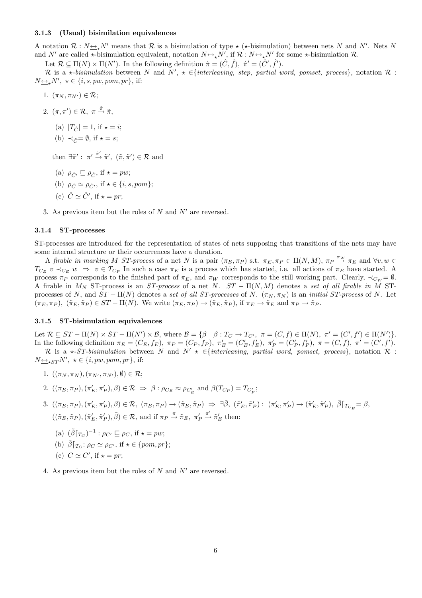#### 3.1.3 (Usual) bisimilation equivalences

A notation  $\mathcal{R}: N \rightarrow N'$  means that  $\mathcal R$  is a bisimulation of type  $\star$  ( $\star$ -bisimulation) between nets N and N'. Nets N and N' are called  $\star$ -bisimulation equivalent, notation  $N \rightarrow N'$ , if  $\mathcal{R} : N \rightarrow N'$  for some  $\star$ -bisimulation  $\mathcal{R}$ .

Let  $\mathcal{R} \subseteq \Pi(N) \times \Pi(N')$ . In the following definition  $\hat{\pi} = (\hat{C}, \hat{f}), \hat{\pi}' = (\hat{C}', \hat{f}')$ .

R is a  $\star$ -bisimulation between N and N',  $\star \in \{interleaving, step, partial word, pomset, process\}$ , notation R :  $N_{\underbrace{\longleftrightarrow} N'}$ ,  $\star \in \{i, s, pw, pom, pr\}$ , if:

- 1.  $(\pi_N, \pi_{N'}) \in \mathcal{R};$
- 2.  $(\pi, \pi') \in \mathcal{R}, \pi \stackrel{\hat{\pi}}{\rightarrow} \tilde{\pi},$ 
	- (a)  $|T_{\hat{C}}| = 1$ , if  $\star = i$ ;
	- (b)  $\prec_{\hat{C}} = \emptyset$ , if  $\star = s$ ;

then  $\exists \tilde{\pi}' : \pi' \stackrel{\hat{\pi}'}{\rightarrow} \tilde{\pi}', \ (\tilde{\pi}, \tilde{\pi}') \in \mathcal{R}$  and

- (a)  $\rho_{\hat{C}'} \sqsubseteq \rho_{\hat{C}}$ , if  $\star = pw$ ;
- (b)  $\rho_{\hat{C}} \simeq \rho_{\hat{C}}$ , if  $\star \in \{i, s, pom\};$
- (c)  $\hat{C} \simeq \hat{C}'$ , if  $\star = pr$ ;
- 3. As previous item but the roles of  $N$  and  $N'$  are reversed.

#### 3.1.4 ST-processes

ST-processes are introduced for the representation of states of nets supposing that transitions of the nets may have some internal structure or their occurrences have a duration.

A firable in marking M ST-process of a net N is a pair  $(\pi_E, \pi_P)$  s.t.  $\pi_E, \pi_P \in \Pi(N, M)$ ,  $\pi_P \stackrel{\pi_W}{\to} \pi_E$  and  $\forall v, w \in$  $T_{C_E}$   $v \prec_{C_E} w \Rightarrow v \in T_{C_P}$  In such a case  $\pi_E$  is a process which has started, i.e. all actions of  $\pi_E$  have started. A process  $\pi_P$  corresponds to the finished part of  $\pi_E$ , and  $\pi_W$  corresponds to the still working part. Clearly,  $\prec_{C_W} = \emptyset$ . A firable in  $M_N$  ST-process is an ST-process of a net N. ST –  $\Pi(N,M)$  denotes a set of all firable in M STprocesses of N, and  $ST - \Pi(N)$  denotes a set of all ST-processes of N. ( $\pi_N$ ,  $\pi_N$ ) is an initial ST-process of N. Let  $(\pi_E, \pi_P), (\tilde{\pi}_E, \tilde{\pi}_P) \in ST - \Pi(N)$ . We write  $(\pi_E, \pi_P) \to (\tilde{\pi}_E, \tilde{\pi}_P)$ , if  $\pi_E \to \tilde{\pi}_E$  and  $\pi_P \to \tilde{\pi}_P$ .

#### 3.1.5 ST-bisimulation equivalences

Let  $\mathcal{R} \subseteq ST - \Pi(N) \times ST - \Pi(N') \times \mathcal{B}$ , where  $\mathcal{B} = \{\beta \mid \beta : T_{C} \to T_{C'}$ ,  $\pi = (C, f) \in \Pi(N)$ ,  $\pi' = (C', f') \in \Pi(N')\}$ . In the following definition  $\pi_E = (C_E, f_E)$ ,  $\pi_P = (C_P, f_P)$ ,  $\pi'_E = (C'_E, f'_E)$ ,  $\pi'_P = (C'_P, f'_P)$ ,  $\pi = (C, f)$ ,  $\pi' = (C', f')$ . R is a  $\star$ -ST-bisimulation between N and N'  $\star$  ∈{interleaving, partial word, pomset, process}, notation R :

 $N_{\underbrace{\leftrightarrow} sT} N'$ ,  $\star \in \{i, pw, pom, pr\}$ , if:

- 1.  $((\pi_N, \pi_N), (\pi_{N'}, \pi_{N'}), \emptyset) \in \mathcal{R};$
- 2.  $((\pi_E, \pi_P), (\pi'_E, \pi'_P), \beta) \in \mathcal{R} \Rightarrow \beta : \rho_{C_E} \approx \rho_{C'_E}$  and  $\beta(T_{C_P}) = T_{C'_P};$
- $3. \; ((\pi_E, \pi_P), (\pi'_E, \pi'_P), \beta) \in \mathcal{R}, \; (\pi_E, \pi_P) \rightarrow (\tilde{\pi}_E, \tilde{\pi}_P) \; \Rightarrow \; \exists \tilde{\beta}, \; (\tilde{\pi}'_E, \tilde{\pi}'_P): \; (\pi'_E, \pi'_P) \rightarrow (\tilde{\pi}'_E, \tilde{\pi}'_P), \; \tilde{\beta} \lceil_{T_{C_E}} = \beta,$  $((\tilde{\pi}_E, \tilde{\pi}_P), (\tilde{\pi}'_E, \tilde{\pi}'_P), \tilde{\beta}) \in \mathcal{R}$ , and if  $\pi_P \stackrel{\pi}{\rightarrow} \tilde{\pi}_E, \pi'_F$  $\xrightarrow{\pi'} \tilde{\pi}'_E$  then:
	- (a)  $(\tilde{\beta}\vert_{T_C})^{-1}$ :  $\rho_{C'} \sqsubseteq \rho_C$ , if  $\star = pw$ ;
	- (b)  $\tilde{\beta} \big[ T_C : \rho_C \simeq \rho_{C'} , \text{ if } \star \in \{ \text{pom}, \text{pr} \};$
	- (c)  $C \simeq C'$ , if  $\star = pr$ ;
- 4. As previous item but the roles of  $N$  and  $N'$  are reversed.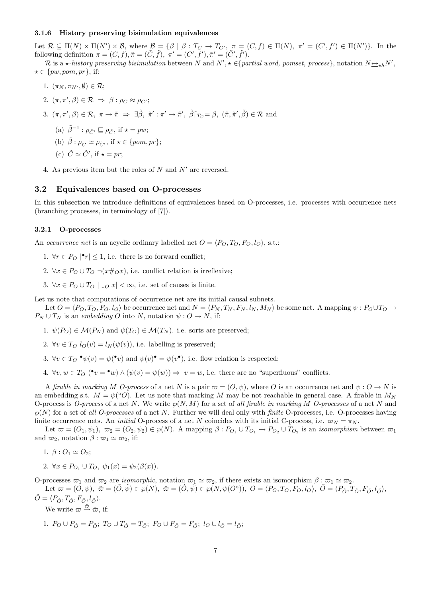#### 3.1.6 History preserving bisimulation equivalences

Let  $\mathcal{R} \subseteq \Pi(N) \times \Pi(N') \times \mathcal{B}$ , where  $\mathcal{B} = \{\beta \mid \beta : T_{C} \to T_{C'}$ ,  $\pi = (C, f) \in \Pi(N)$ ,  $\pi' = (C', f') \in \Pi(N')\}$ . In the following definition  $\pi = (C, f), \tilde{\pi} = (\tilde{C}, \tilde{f}), \pi' = (C', f'), \tilde{\pi}' = (\tilde{C}', \tilde{f}').$ 

R is a  $\star$ -history preserving bisimulation between N and  $N', \star \in$  {partial word, pomset, process}, notation  $N \rightarrow \star h N'$ ,  $\star \in \{pw, pom, pr\},\$ if:

- 1.  $(\pi_N, \pi_{N'}, \emptyset) \in \mathcal{R}$ : 2.  $(\pi, \pi', \beta) \in \mathcal{R} \Rightarrow \beta : \rho_C \approx \rho_{C'};$ 3.  $(\pi, \pi', \beta) \in \mathcal{R}, \ \pi \to \tilde{\pi} \Rightarrow \exists \tilde{\beta}, \ \tilde{\pi}' : \pi' \to \tilde{\pi}', \ \tilde{\beta} \big[ T_{\mathcal{C}} = \beta, \ (\tilde{\pi}, \tilde{\pi}', \tilde{\beta}) \in \mathcal{R} \text{ and }$ (a)  $\tilde{\beta}^{-1}$ :  $\rho_{\tilde{C'}} \sqsubseteq \rho_{\tilde{C}}$ , if  $\star = pw$ ; (b)  $\tilde{\beta}$  :  $\rho_{\tilde{C}} \simeq \rho_{\tilde{C}'}$ , if  $\star \in \{pom, pr\};$ (c)  $\tilde{C} \simeq \tilde{C}'$ , if  $\star = pr$ ;
- 4. As previous item but the roles of N and  $N'$  are reversed.

#### 3.2 Equivalences based on O-processes

In this subsection we introduce definitions of equivalences based on O-processes, i.e. processes with occurrence nets (branching processes, in terminology of [7]).

#### 3.2.1 O-processes

An *occurrence net* is an acyclic ordinary labelled net  $O = \langle P_O, T_O, F_O, l_O \rangle$ , s.t.:

- 1.  $\forall r \in P_O \mid \mathbf{r} \leq 1$ , i.e. there is no forward conflict;
- 2.  $\forall x \in P_0 \cup T_0 \neg (x \#_0 x)$ , i.e. conflict relation is irreflexive;
- 3.  $\forall x \in P_0 \cup T_0 \mid \downarrow o x \mid \infty$ , i.e. set of causes is finite.

Let us note that computations of occurrence net are its initial causal subnets.

Let  $O = \langle P_O, T_O, F_O, l_O \rangle$  be occurrence net and  $N = \langle P_N, T_N, F_N, l_N, M_N \rangle$  be some net. A mapping  $\psi : P_O \cup T_O \rightarrow$  $P_N \cup T_N$  is an embedding O into N, notation  $\psi: O \to N$ , if:

- 1.  $\psi(P_O) \in \mathcal{M}(P_N)$  and  $\psi(T_O) \in \mathcal{M}(T_N)$ . i.e. sorts are preserved;
- 2.  $\forall v \in T_O$   $l_O(v) = l_N(\psi(v))$ , i.e. labelling is preserved;
- 3.  $\forall v \in T_O \bullet \psi(v) = \psi(\bullet v)$  and  $\psi(v) \bullet \psi(v)$ , i.e. flow relation is respected;
- 4.  $\forall v, w \in T_O$  ( $\bullet v = \bullet w$ )  $\land (\psi(v) = \psi(w)) \Rightarrow v = w$ , i.e. there are no "superfluous" conflicts.

A firable in marking M O-process of a net N is a pair  $\varpi = (O, \psi)$ , where O is an occurrence net and  $\psi : O \to N$  is an embedding s.t.  $M = \psi({}^{\circ}O)$ . Let us note that marking M may be not reachable in general case. A firable in  $M_N$ O-process is O-process of a net N. We write  $\wp(N, M)$  for a set of all firable in marking M O-processes of a net N and  $\wp(N)$  for a set of all O-processes of a net N. Further we will deal only with finite O-processes, i.e. O-processes having finite occurrence nets. An *initial* O-process of a net N coincides with its initial C-process, i.e.  $\pi_N = \pi_N$ .

Let  $\varpi = (O_1, \psi_1), \ \varpi_2 = (O_2, \psi_2) \in \wp(N)$ . A mapping  $\beta : P_{O_1} \cup T_{O_1} \to P_{O_2} \cup T_{O_2}$  is an *isomorphism* between  $\varpi_1$ and  $\varpi_2$ , notation  $\beta : \varpi_1 \simeq \varpi_2$ , if:

1.  $\beta$  :  $O_1 \simeq O_2$ ;

2. 
$$
\forall x \in P_{O_1} \cup T_{O_1} \psi_1(x) = \psi_2(\beta(x)).
$$

O-processes  $\varpi_1$  and  $\varpi_2$  are *isomorphic*, notation  $\varpi_1 \simeq \varpi_2$ , if there exists an isomorphism  $\beta : \varpi_1 \simeq \varpi_2$ .

Let 
$$
\varpi = (\tilde{O}, \psi)
$$
,  $\tilde{\varpi} = (\tilde{O}, \tilde{\psi}) \in \varphi(N)$ ,  $\hat{\varpi} = (\hat{O}, \tilde{\psi}) \in \varphi(N, \psi(O^{\circ})), O = \langle P_O, T_O, F_O, l_O \rangle$ ,  $\tilde{O} = \langle P_{\tilde{O}}, T_{\tilde{O}}, F_{\tilde{O}}, l_{\tilde{O}} \rangle$ ,  
\n $\hat{O} = \langle P_{\hat{O}}, T_{\hat{O}}, F_{\hat{O}}, l_{\hat{O}} \rangle$ .

We write  $\varpi \stackrel{\hat{\varpi}}{\rightarrow} \tilde{\varpi}$ , if:

1. 
$$
P_O \cup P_{\hat{O}} = P_{\tilde{O}};
$$
  $T_O \cup T_{\hat{O}} = T_{\tilde{O}};$   $F_O \cup F_{\hat{O}} = F_{\tilde{O}};$   $l_O \cup l_{\hat{O}} = l_{\tilde{O}};$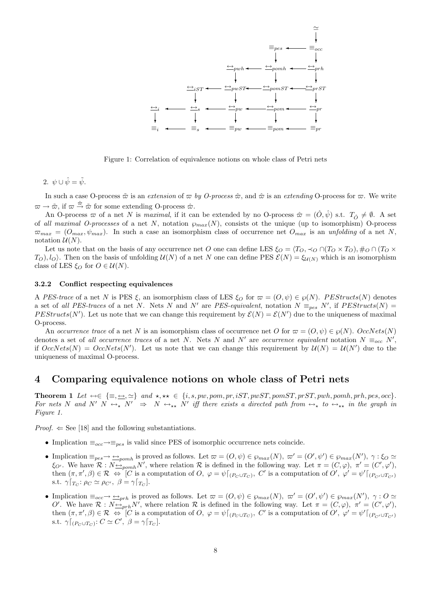

Figure 1: Correlation of equivalence notions on whole class of Petri nets

2.  $\psi \cup \hat{\psi} = \tilde{\psi}$ .

In such a case O-process  $\tilde{\varpi}$  is an extension of  $\varpi$  by O-process  $\hat{\varpi}$ , and  $\hat{\varpi}$  is an extending O-process for  $\varpi$ . We write  $\bar{\omega} \to \tilde{\omega}$ , if  $\bar{\omega} \stackrel{\hat{\omega}}{\to} \tilde{\omega}$  for some extending O-process  $\hat{\omega}$ .

An O-process  $\varpi$  of a net N is maximal, if it can be extended by no O-process  $\hat{\varpi} = (\hat{O}, \hat{\psi})$  s.t.  $T_{\hat{O}} \neq \emptyset$ . A set of all maximal O-processes of a net N, notation  $\wp_{max}(N)$ , consists ot the unique (up to isomorphism) O-process  $\overline{\omega}_{max} = (O_{max}, \psi_{max})$ . In such a case an isomorphism class of occurrence net  $O_{max}$  is an unfolding of a net N, notation  $\mathcal{U}(N)$ .

Let us note that on the basis of any occurrence net O one can define LES  $\xi_O = \langle T_O, \prec_O \cap (T_O \times T_O), \#_O \cap (T_O \times T_O) \rangle$  $T_O$ ,  $l_O$ . Then on the basis of unfolding  $U(N)$  of a net N one can define PES  $\mathcal{E}(N) = \xi_{U(N)}$  which is an isomorphism class of LES  $\xi_O$  for  $O \in \mathcal{U}(N)$ .

#### 3.2.2 Conflict respecting equivalences

A PES-trace of a net N is PES  $\xi$ , an isomorphism class of LES  $\xi_O$  for  $\varpi = (O, \psi) \in \wp(N)$ . PEStructs(N) denotes a set of all PES-traces of a net N. Nets N and N' are PES-equivalent, notation  $N \equiv_{pes} N'$ , if  $PEStructs(N) =$ PEStructs(N'). Let us note that we can change this requirement by  $\mathcal{E}(N) = \mathcal{E}(N')$  due to the uniqueness of maximal O-process.

An occurrence trace of a net N is an isomorphism class of occurrence net O for  $\varpi = (O, \psi) \in \varphi(N)$ . OccNets(N) denotes a set of all occurrence traces of a net N. Nets N and N' are occurrence equivalent notation  $N \equiv_{occ} N'$ , if  $OccNets(N) = OccNets(N')$ . Let us note that we can change this requirement by  $\mathcal{U}(N) = \mathcal{U}(N')$  due to the uniqueness of maximal O-process.

### 4 Comparing equivalence notions on whole class of Petri nets

Theorem 1 Let  $\leftrightarrow \in \{\equiv, \underline{\leftrightarrow}, \simeq\}$  and  $\star, \star \star \in \{i, s, pw, pom, pr, iST, pwST, pomST, prST, pwh, pomh, prh, pes, occ\}.$ For nets N and N' N  $\leftrightarrow$ , N'  $\Rightarrow$  N  $\leftrightarrow$ <sub>\*\*</sub> N' iff there exists a directed path from  $\leftrightarrow$ <sub>\*</sub> to  $\leftrightarrow$ <sub>\*\*</sub> in the graph in Figure 1.

*Proof.*  $\Leftarrow$  See [18] and the following substantiations.

- Implication  $\equiv_{occ} \rightarrow \equiv_{pes}$  is valid since PES of isomorphic occurrence nets coincide.
- Implication  $\equiv_{pes} \rightarrow \underline{\leftrightarrow}_{pomh}$  is proved as follows. Let  $\varpi = (O, \psi) \in \wp_{max}(N)$ ,  $\varpi' = (O', \psi') \in \wp_{max}(N')$ ,  $\gamma : \xi_O \simeq \pi'$  $\xi_{O'}$ . We have  $\mathcal{R}: N \rightarrow p_{comb} N'$ , where relation  $\mathcal{R}$  is defined in the following way. Let  $\pi = (C, \varphi), \pi' = (C', \varphi'),$ then  $(\pi, \pi', \beta) \in \mathcal{R} \Leftrightarrow [C]$  is a computation of  $O, \varphi = \psi|_{(P_C \cup T_C)}, C'$  is a computation of  $O', \varphi' = \psi'|_{(P_{C'} \cup T_{C'})}$ s.t.  $\gamma|_{T_C}: \rho_C \simeq \rho_{C'}$ ,  $\beta = \gamma|_{T_C}$ .
- Implication  $\equiv_{occ} \to \longrightarrow_{prh}$  is proved as follows. Let  $\varpi = (O, \psi) \in \wp_{max}(N)$ ,  $\varpi' = (O', \psi') \in \wp_{max}(N')$ ,  $\gamma : O \simeq$ O'. We have  $\mathcal{R}: N \rightarrow p_{r} N'$ , where relation  $\mathcal{R}$  is defined in the following way. Let  $\pi = (C, \varphi), \pi' = (C', \varphi'),$ then  $(\pi, \pi', \beta) \in \mathcal{R} \Leftrightarrow [C \text{ is a computation of } O, \varphi = \psi|_{(P_C \cup T_C)}, C' \text{ is a computation of } O', \varphi' = \psi|_{(P_C \cup T_{C'})}$ s.t.  $\gamma|_{(P_C \cup T_C)}$ :  $C \simeq C', \beta = \gamma|_{T_C}$ .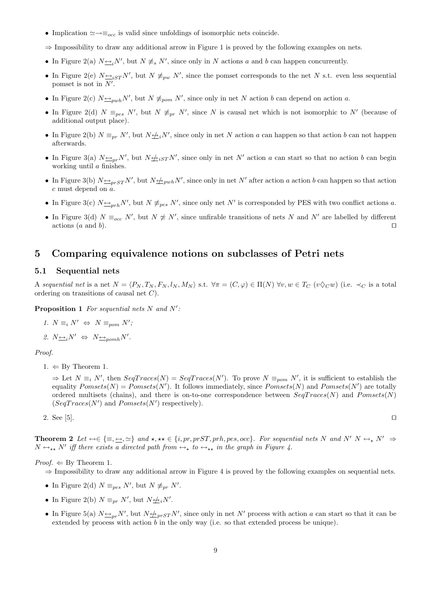• Implication  $\approx \rightarrow \equiv_{occ}$  is valid since unfoldings of isomorphic nets coincide.

 $\Rightarrow$  Impossibility to draw any additional arrow in Figure 1 is proved by the following examples on nets.

- In Figure 2(a)  $N \rightarrow N'$ , but  $N \not\equiv_s N'$ , since only in N actions a and b can happen concurrently.
- In Figure 2(e)  $N \rightarrow_{iST} N'$ , but  $N \not\equiv_{pw} N'$ , since the pomset corresponds to the net N s.t. even less sequential pomset is not in  $N'$ .
- In Figure 2(c)  $N \rightarrow_{pwh} N'$ , but  $N \not\equiv_{pom} N'$ , since only in net N action b can depend on action a.
- In Figure 2(d)  $N \equiv_{pes} N'$ , but  $N \not\equiv_{pr} N'$ , since N is causal net which is not isomorphic to N' (because of additional output place).
- In Figure 2(b)  $N \equiv_{pr} N'$ , but  $N \not\Longrightarrow_i N'$ , since only in net N action a can happen so that action b can not happen afterwards.
- In Figure 3(a)  $N \nightharpoonup_{pr} N'$ , but  $N \nightharpoonup_{i} \nightharpoonup_{i} N'$ , since only in net N' action a can start so that no action b can begin working until a finishes.
- In Figure 3(b)  $N \rightarrow p_{rST} N'$ , but  $N \not\rightarrow p_{wh} N'$ , since only in net N' after action a action b can happen so that action c must depend on a.
- In Figure 3(c)  $N \rightarrow p_{rh}N'$ , but  $N \not\equiv_{pes} N'$ , since only net N' is corresponded by PES with two conflict actions a.
- In Figure 3(d)  $N \equiv_{occ} N'$ , but  $N \not\cong N'$ , since unfirable transitions of nets N and N' are labelled by different actions  $(a \text{ and } b)$ .

### 5 Comparing equivalence notions on subclasses of Petri nets

#### 5.1 Sequential nets

A sequential net is a net  $N = \langle P_N, T_N, F_N, l_N, M_N \rangle$  s.t.  $\forall \pi = (C, \varphi) \in \Pi(N)$   $\forall v, w \in T_C$   $(v \diamondsuit_C w)$  (i.e.  $\prec_C$  is a total ordering on transitions of causal net C).

**Proposition 1** For sequential nets  $N$  and  $N'$ :

1. 
$$
N \equiv_i N' \Leftrightarrow N \equiv_{\text{pom}} N';
$$

2. 
$$
N \underline{\leftrightarrow}_i N' \Leftrightarrow N \underline{\leftrightarrow}_{pomh} N'.
$$

Proof.

 $1. \Leftarrow$  By Theorem 1.

 $\Rightarrow$  Let  $N \equiv_i N'$ , then  $SeqTraces(N) = SeqTraces(N')$ . To prove  $N \equiv_{pom} N'$ , it is sufficient to establish the equality  $Pomsets(N) = Pomsets(N')$ . It follows immediately, since  $Pomsets(N)$  and  $Pomsets(N')$  are totally ordered multisets (chains), and there is on-to-one correspondence between  $SeqTrace(N)$  and  $Pomsets(N)$  $(SeqTraces(N')$  and  $Pomsets(N')$  respectively).

2. See [5].  $\square$ 

**Theorem 2** Let  $\leftrightarrow \in \{\equiv, \leftrightarrow, \simeq\}$  and  $\star, \star \star \in \{i, pr, prST, prh, pes, occ\}$ . For sequential nets N and N' N  $\leftrightarrow_{\star} N' \Rightarrow$  $N \leftrightarrow_{\star\star} N'$  iff there exists a directed path from  $\leftrightarrow_{\star}$  to  $\leftrightarrow_{\star\star}$  in the graph in Figure 4.

*Proof.*  $\Leftarrow$  By Theorem 1.

 $\Rightarrow$  Impossibility to draw any additional arrow in Figure 4 is proved by the following examples on sequential nets.

- In Figure 2(d)  $N \equiv_{pes} N'$ , but  $N \not\equiv_{pr} N'$ .
- In Figure 2(b)  $N \equiv_{pr} N'$ , but  $N \not\Longrightarrow_i N'$ .
- In Figure 5(a)  $N \nightharpoonup_{pr} N'$ , but  $N \nightharpoonup_{pr} ST'$ , since only in net N' process with action a can start so that it can be extended by process with action  $b$  in the only way (i.e. so that extended process be unique).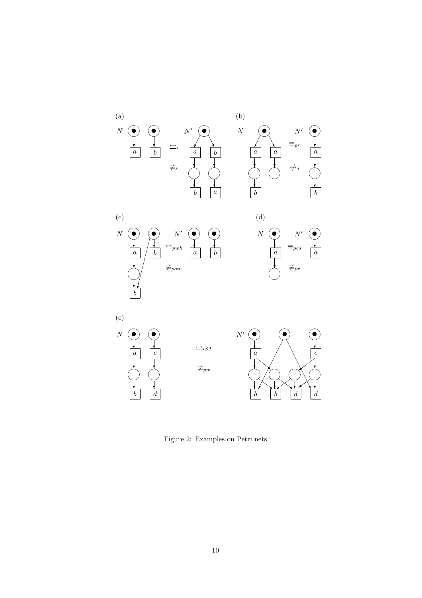

Figure 2: Examples on Petri nets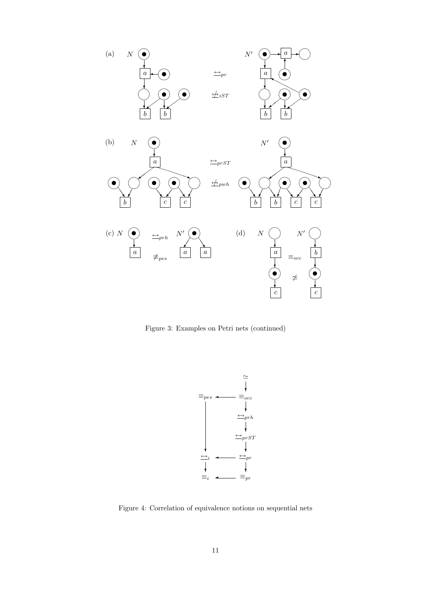

Figure 3: Examples on Petri nets (continued)



Figure 4: Correlation of equivalence notions on sequential nets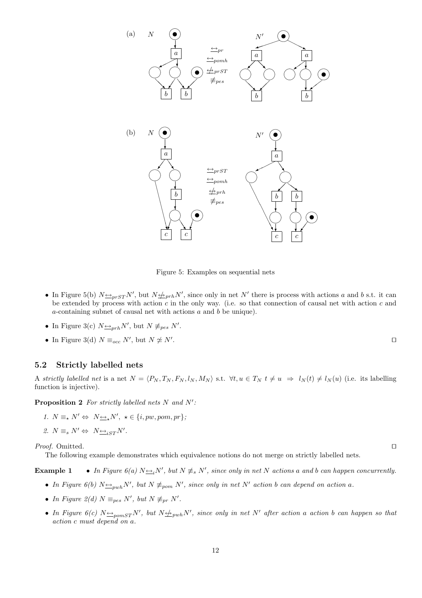

Figure 5: Examples on sequential nets

- In Figure 5(b)  $N \nightharpoonup_{prST} N'$ , but  $N \nightharpoonup_{prh} N'$ , since only in net N' there is process with actions a and b s.t. it can be extended by process with action  $c$  in the only way. (i.e. so that connection of causal net with action  $c$  and a-containing subnet of causal net with actions a and b be unique).
- In Figure 3(c)  $N \underline{\leftrightarrow}_{prh} N'$ , but  $N \not\equiv_{pes} N'$ .
- In Figure 3(d)  $N \equiv_{occ} N'$ , but  $N \not\cong N'$ . The contract of the contract of the contract of the contract of the contract of  $\Box$

#### 5.2 Strictly labelled nets

A strictly labelled net is a net  $N = \langle P_N, T_N, F_N, l_N, M_N \rangle$  s.t.  $\forall t, u \in T_N$   $t \neq u \Rightarrow l_N(t) \neq l_N(u)$  (i.e. its labelling function is injective).

**Proposition 2** For strictly labelled nets N and  $N'$ :

- 1.  $N \equiv_{\star} N' \Leftrightarrow N \underline{\leftrightarrow}_{\star} N', \ \star \in \{i, pw, pom, pr\};$
- 2.  $N \equiv_s N' \Leftrightarrow N \rightarrow_{iST} N'.$

*Proof.* Omitted.  $\Box$ 

The following example demonstrates which equivalence notions do not merge on strictly labelled nets.

**Example 1** • In Figure 6(a)  $N \rightarrow N'$ , but  $N \not\equiv s N'$ , since only in net N actions a and b can happen concurrently.

- In Figure 6(b)  $N \triangleq_{pub} N'$ , but  $N \not\equiv_{pop} N'$ , since only in net N' action b can depend on action a.
- In Figure 2(d)  $N \equiv_{pes} N'$ , but  $N \not\equiv_{pr} N'$ .
- In Figure  $6(c)$   $N \triangleq_{pomST} N'$ , but  $N \triangleq_{pwh} N'$ , since only in net N' after action a action b can happen so that action c must depend on a.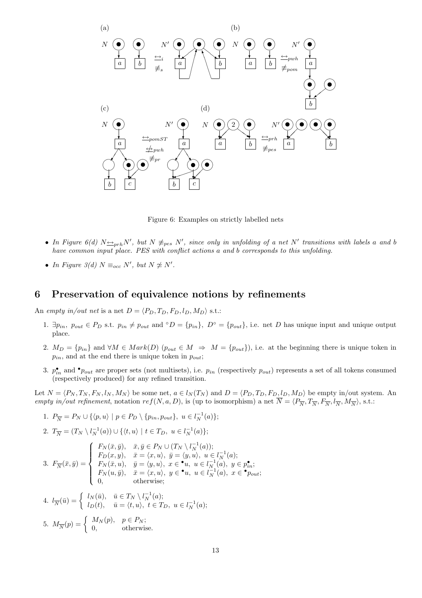

Figure 6: Examples on strictly labelled nets

- In Figure 6(d)  $N \rightarrow p_{rrh}N'$ , but  $N \not\equiv_{pes} N'$ , since only in unfolding of a net N' transitions with labels a and b have common input place. PES with conflict actions a and b corresponds to this unfolding.
- In Figure 3(d)  $N \equiv_{occ} N'$ , but  $N \not\cong N'$ .

### 6 Preservation of equivalence notions by refinements

An empty in/out net is a net  $D = \langle P_D, T_D, F_D, l_D, M_D \rangle$  s.t.:

- 1.  $\exists p_{in}, p_{out} \in P_D$  s.t.  $p_{in} \neq p_{out}$  and ° $D = \{p_{in}\}, D^{\circ} = \{p_{out}\}$ , i.e. net D has unique input and unique output place.
- 2.  $M_D = \{p_{in}\}\$ and  $\forall M \in Mark(D)$   $(p_{out} \in M \Rightarrow M = \{p_{out}\}\)$ , i.e. at the beginning there is unique token in  $p_{in}$ , and at the end there is unique token in  $p_{out}$ ;
- 3.  $p_{in}^{\bullet}$  and  $^{\bullet}p_{out}$  are proper sets (not multisets), i.e.  $p_{in}$  (respectively  $p_{out}$ ) represents a set of all tokens consumed (respectively produced) for any refined transition.

Let  $N = \langle P_N, T_N, F_N, l_N, M_N \rangle$  be some net,  $a \in l_N (T_N)$  and  $D = \langle P_D, T_D, F_D, l_D, M_D \rangle$  be empty in/out system. An empty in/out refinement, notation  $ref(N, a, D)$ , is (up to isomorphism) a net  $\overline{N} = \langle P_{\overline{N}}, T_{\overline{N}}, F_{\overline{N}}, I_{\overline{N}}, M_{\overline{N}} \rangle$ , s.t.:

1.  $P_{\overline{N}} = P_N \cup \{ \langle p, u \rangle \mid p \in P_D \setminus \{ p_{in}, p_{out} \}, u \in l_N^{-1}(a) \};$ 

2. 
$$
T_{\overline{N}} = (T_N \setminus l_N^{-1}(a)) \cup \{ \langle t, u \rangle \mid t \in T_D, u \in l_N^{-1}(a) \};
$$

3. 
$$
F_{\overline{N}}(\bar{x}, \bar{y}) = \begin{cases} F_N(\bar{x}, \bar{y}), & \bar{x}, \bar{y} \in P_N \cup (T_N \setminus l_N^{-1}(a)); \\ F_D(x, y), & \bar{x} = \langle x, u \rangle, \ \bar{y} = \langle y, u \rangle, \ u \in l_N^{-1}(a); \\ F_N(\bar{x}, u), & \bar{y} = \langle y, u \rangle, \ x \in \mathbf{L}_N^{-1}(a), \ y \in p_{in}^{\bullet}; \\ F_N(u, \bar{y}), & \bar{x} = \langle x, u \rangle, \ y \in \mathbf{L}_N^{-1}(a), \ x \in \mathbf{L}_N^{-1}(a), \\ 0, & \text{otherwise}; \end{cases}
$$

4. 
$$
l_{\overline{N}}(\overline{u}) = \begin{cases} l_N(\overline{u}), & \overline{u} \in T_N \setminus l_N^{-1}(a); \\ l_D(t), & \overline{u} = \langle t, u \rangle, t \in T_D, u \in l_N^{-1}(a); \end{cases}
$$
  
5. 
$$
M_{\overline{N}}(p) = \begin{cases} M_N(p), & p \in P_N; \\ 0, & \text{otherwise.} \end{cases}
$$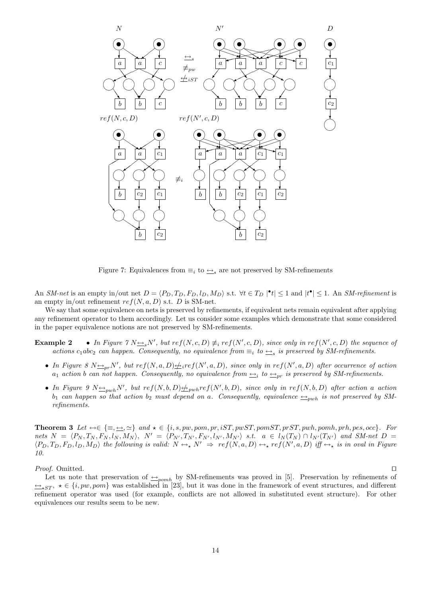

Figure 7: Equivalences from  $\equiv_i$  to  $\rightarrow_{s}$  are not preserved by SM-refinements

An SM-net is an empty in/out net  $D = \langle P_D, T_D, F_D, l_D, M_D \rangle$  s.t.  $\forall t \in T_D \mid \mathbf{t} \mid \leq 1$  and  $|t^{\bullet}| \leq 1$ . An SM-refinement is an empty in/out refinement  $ref(N, a, D)$  s.t. D is SM-net.

We say that some equivalence on nets is preserved by refinements, if equivalent nets remain equivalent after applying any refinement operator to them accordingly. Let us consider some examples which demonstrate that some considered in the paper equivalence notions are not preserved by SM-refinements.

**Example 2** • In Figure  $\gamma N \rightarrow N$ , but  $ref(N, c, D) \not\equiv_i ref(N', c, D)$ , since only in  $ref(N', c, D)$  the sequence of actions c<sub>1</sub> abc<sub>2</sub> can happen. Consequently, no equivalence from  $\equiv_i$  to  $\rightarrow$ <sub>s</sub> is preserved by SM-refinements.

- In Figure 8  $N_{\text{Sov}}N'$ , but  $ref(N, a, D) \neq ircf(N', a, D)$ , since only in  $ref(N', a, D)$  after occurrence of action  $a_1$  action b can not happen. Consequently, no equivalence from  $\implies$  to  $\implies$  is preserved by SM-refinements.
- In Figure 9  $N \rightarrow_{pub} N'$ , but  $ref(N, b, D) \not\rightarrow_{pub} ref(N', b, D)$ , since only in  $ref(N, b, D)$  after action a action  $b_1$  can happen so that action  $b_2$  must depend on a. Consequently, equivalence  $\implies_{pub}$  is not preserved by SMrefinements.

**Theorem 3** Let  $\leftrightarrow \in \{\equiv, \leftrightarrow, \simeq\}$  and  $\star \in \{i, s, pw, pom, pr, iST, pwsT, pomST, prST, pwh, pomh, prh, pes, occ\}.$  For nets  $N = \langle P_N, T_N, F_N, l_N, M_N \rangle$ ,  $N' = \langle P_{N'}, T_{N'}, F_{N'}, l_{N'}, M_{N'} \rangle$  s.t.  $a \in l_N(T_N) \cap l_{N'}(T_{N'})$  and SM-net  $D =$  $\langle P_D, T_D, F_D, l_D, M_D \rangle$  the following is valid:  $N \leftrightarrow_{\star} N' \Rightarrow ref(N, a, D) \leftrightarrow_{\star} ref(N', a, D)$  iff  $\leftrightarrow_{\star}$  is in oval in Figure 10.

#### *Proof.* Omitted.  $\Box$

Let us note that preservation of  $\rightarrow_{pomh}$  by SM-refinements was proved in [5]. Preservation by refinements of  $\rightarrow_{\star ST}$ ,  $\star \in \{i, pw, pom\}$  was established in [23], but it was done in the framework of event structures, and different refinement operator was used (for example, conflicts are not allowed in substituted event structure). For other equivalences our results seem to be new.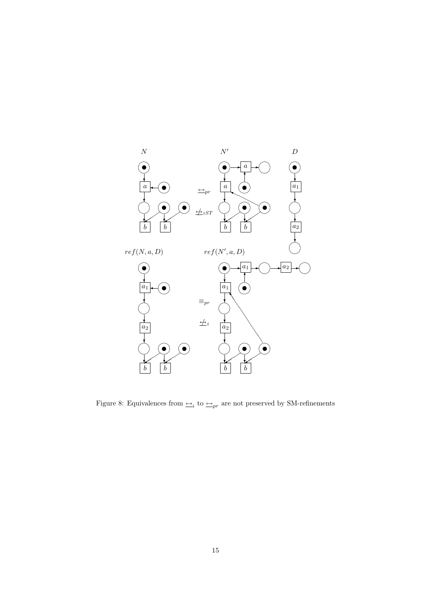

Figure 8: Equivalences from  $\triangleq_i$  to  $\triangleq_{pr}$  are not preserved by SM-refinements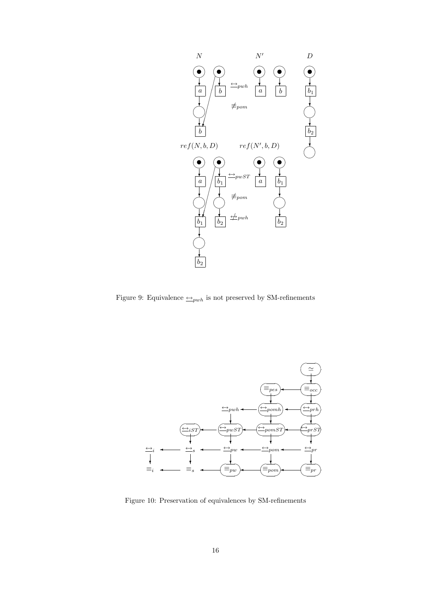

Figure 9: Equivalence  $\triangle_{pwh}$  is not preserved by SM-refinements



Figure 10: Preservation of equivalences by SM-refinements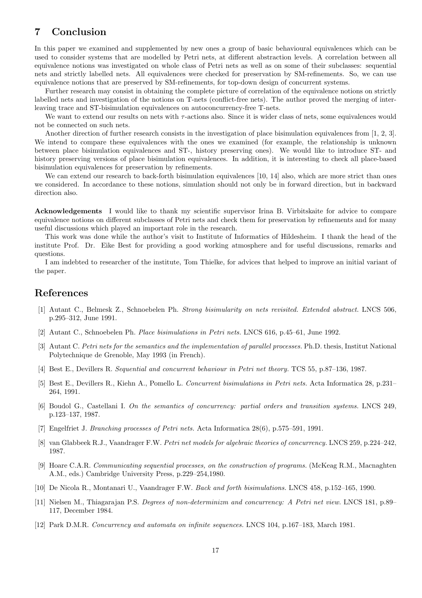# 7 Conclusion

In this paper we examined and supplemented by new ones a group of basic behavioural equivalences which can be used to consider systems that are modelled by Petri nets, at different abstraction levels. A correlation between all equivalence notions was investigated on whole class of Petri nets as well as on some of their subclasses: sequential nets and strictly labelled nets. All equivalences were checked for preservation by SM-refinements. So, we can use equivalence notions that are preserved by SM-refinements, for top-down design of concurrent systems.

Further research may consist in obtaining the complete picture of correlation of the equivalence notions on strictly labelled nets and investigation of the notions on T-nets (conflict-free nets). The author proved the merging of interleaving trace and ST-bisimulation equivalences on autoconcurrency-free T-nets.

We want to extend our results on nets with  $\tau$ -actions also. Since it is wider class of nets, some equivalences would not be connected on such nets.

Another direction of further research consists in the investigation of place bisimulation equivalences from [1, 2, 3]. We intend to compare these equivalences with the ones we examined (for example, the relationship is unknown between place bisimulation equivalences and ST-, history preserving ones). We would like to introduce ST- and history preserving versions of place bisimulation equivalences. In addition, it is interesting to check all place-based bisimulation equivalences for preservation by refinements.

We can extend our research to back-forth bisimulation equivalences [10, 14] also, which are more strict than ones we considered. In accordance to these notions, simulation should not only be in forward direction, but in backward direction also.

Acknowledgements I would like to thank my scientific supervisor Irina B. Virbitskaite for advice to compare equivalence notions on different subclasses of Petri nets and check them for preservation by refinements and for many useful discussions which played an important role in the research.

This work was done while the author's visit to Institute of Informatics of Hildesheim. I thank the head of the institute Prof. Dr. Eike Best for providing a good working atmosphere and for useful discussions, remarks and questions.

I am indebted to researcher of the institute, Tom Thielke, for advices that helped to improve an initial variant of the paper.

### References

- [1] Autant C., Belmesk Z., Schnoebelen Ph. Strong bisimularity on nets revisited. Extended abstract. LNCS 506, p.295–312, June 1991.
- [2] Autant C., Schnoebelen Ph. Place bisimulations in Petri nets. LNCS 616, p.45–61, June 1992.
- [3] Autant C. Petri nets for the semantics and the implementation of parallel processes. Ph.D. thesis, Institut National Polytechnique de Grenoble, May 1993 (in French).
- [4] Best E., Devillers R. Sequential and concurrent behaviour in Petri net theory. TCS 55, p.87–136, 1987.
- [5] Best E., Devillers R., Kiehn A., Pomello L. Concurrent bisimulations in Petri nets. Acta Informatica 28, p.231– 264, 1991.
- [6] Boudol G., Castellani I. On the semantics of concurrency: partial orders and transition systems. LNCS 249, p.123–137, 1987.
- [7] Engelfriet J. Branching processes of Petri nets. Acta Informatica 28(6), p.575–591, 1991.
- [8] van Glabbeek R.J., Vaandrager F.W. Petri net models for algebraic theories of concurrency. LNCS 259, p.224–242, 1987.
- [9] Hoare C.A.R. Communicating sequential processes, on the construction of programs. (McKeag R.M., Macnaghten A.M., eds.) Cambridge University Press, p.229–254,1980.
- [10] De Nicola R., Montanari U., Vaandrager F.W. Back and forth bisimulations. LNCS 458, p.152–165, 1990.
- [11] Nielsen M., Thiagarajan P.S. Degrees of non-determinizm and concurrency: A Petri net view. LNCS 181, p.89– 117, December 1984.
- [12] Park D.M.R. Concurrency and automata on infinite sequences. LNCS 104, p.167–183, March 1981.